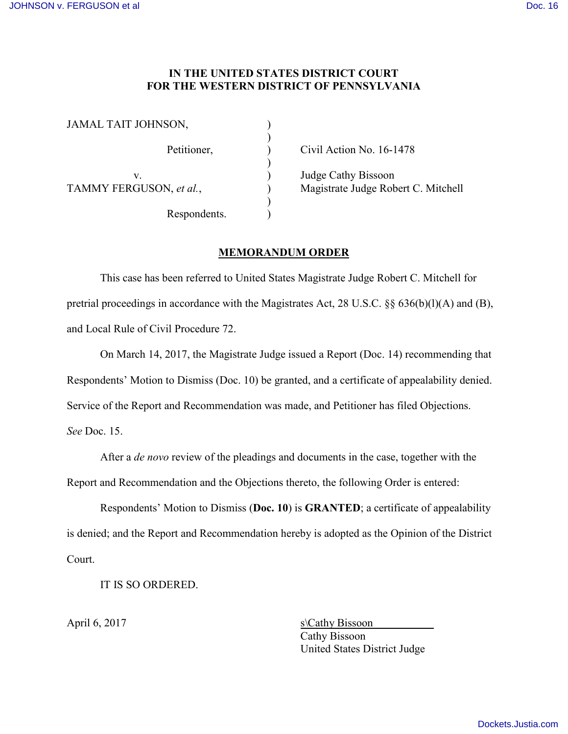## **IN THE UNITED STATES DISTRICT COURT FOR THE WESTERN DISTRICT OF PENNSYLVANIA**

| JAMAL TAIT JOHNSON,          |  |
|------------------------------|--|
| Petitioner,                  |  |
| V<br>TAMMY FERGUSON, et al., |  |
| Respondents.                 |  |

Civil Action No. 16-1478

Judge Cathy Bissoon Magistrate Judge Robert C. Mitchell

## **MEMORANDUM ORDER**

This case has been referred to United States Magistrate Judge Robert C. Mitchell for pretrial proceedings in accordance with the Magistrates Act, 28 U.S.C. §§ 636(b)(l)(A) and (B), and Local Rule of Civil Procedure 72.

On March 14, 2017, the Magistrate Judge issued a Report (Doc. 14) recommending that Respondents' Motion to Dismiss (Doc. 10) be granted, and a certificate of appealability denied. Service of the Report and Recommendation was made, and Petitioner has filed Objections. *See* Doc. 15.

After a *de novo* review of the pleadings and documents in the case, together with the Report and Recommendation and the Objections thereto, the following Order is entered:

Respondents' Motion to Dismiss (**Doc. 10**) is **GRANTED**; a certificate of appealability is denied; and the Report and Recommendation hereby is adopted as the Opinion of the District Court.

IT IS SO ORDERED.

April 6, 2017 s\Cathy Bissoon Cathy Bissoon United States District Judge